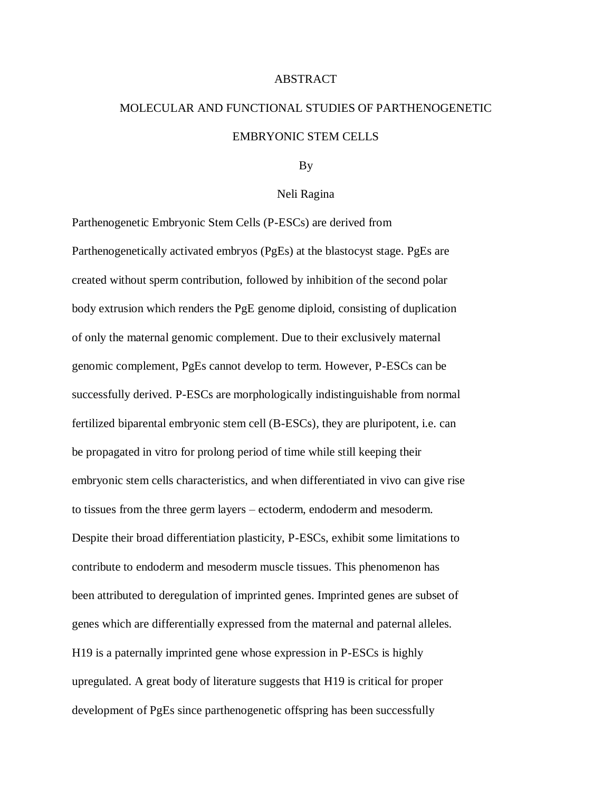#### ABSTRACT

# MOLECULAR AND FUNCTIONAL STUDIES OF PARTHENOGENETIC EMBRYONIC STEM CELLS

#### By

#### Neli Ragina

Parthenogenetic Embryonic Stem Cells (P-ESCs) are derived from Parthenogenetically activated embryos (PgEs) at the blastocyst stage. PgEs are created without sperm contribution, followed by inhibition of the second polar body extrusion which renders the PgE genome diploid, consisting of duplication of only the maternal genomic complement. Due to their exclusively maternal genomic complement, PgEs cannot develop to term. However, P-ESCs can be successfully derived. P-ESCs are morphologically indistinguishable from normal fertilized biparental embryonic stem cell (B-ESCs), they are pluripotent, i.e. can be propagated in vitro for prolong period of time while still keeping their embryonic stem cells characteristics, and when differentiated in vivo can give rise to tissues from the three germ layers – ectoderm, endoderm and mesoderm. Despite their broad differentiation plasticity, P-ESCs, exhibit some limitations to contribute to endoderm and mesoderm muscle tissues. This phenomenon has been attributed to deregulation of imprinted genes. Imprinted genes are subset of genes which are differentially expressed from the maternal and paternal alleles. H19 is a paternally imprinted gene whose expression in P-ESCs is highly upregulated. A great body of literature suggests that H19 is critical for proper development of PgEs since parthenogenetic offspring has been successfully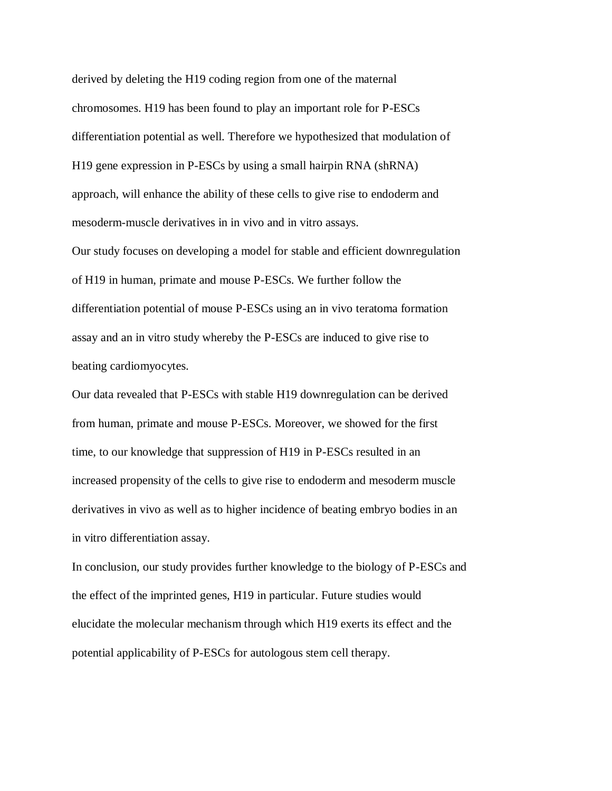derived by deleting the H19 coding region from one of the maternal chromosomes. H19 has been found to play an important role for P-ESCs differentiation potential as well. Therefore we hypothesized that modulation of H19 gene expression in P-ESCs by using a small hairpin RNA (shRNA) approach, will enhance the ability of these cells to give rise to endoderm and mesoderm-muscle derivatives in in vivo and in vitro assays.

Our study focuses on developing a model for stable and efficient downregulation of H19 in human, primate and mouse P-ESCs. We further follow the differentiation potential of mouse P-ESCs using an in vivo teratoma formation assay and an in vitro study whereby the P-ESCs are induced to give rise to beating cardiomyocytes.

Our data revealed that P-ESCs with stable H19 downregulation can be derived from human, primate and mouse P-ESCs. Moreover, we showed for the first time, to our knowledge that suppression of H19 in P-ESCs resulted in an increased propensity of the cells to give rise to endoderm and mesoderm muscle derivatives in vivo as well as to higher incidence of beating embryo bodies in an in vitro differentiation assay.

In conclusion, our study provides further knowledge to the biology of P-ESCs and the effect of the imprinted genes, H19 in particular. Future studies would elucidate the molecular mechanism through which H19 exerts its effect and the potential applicability of P-ESCs for autologous stem cell therapy.